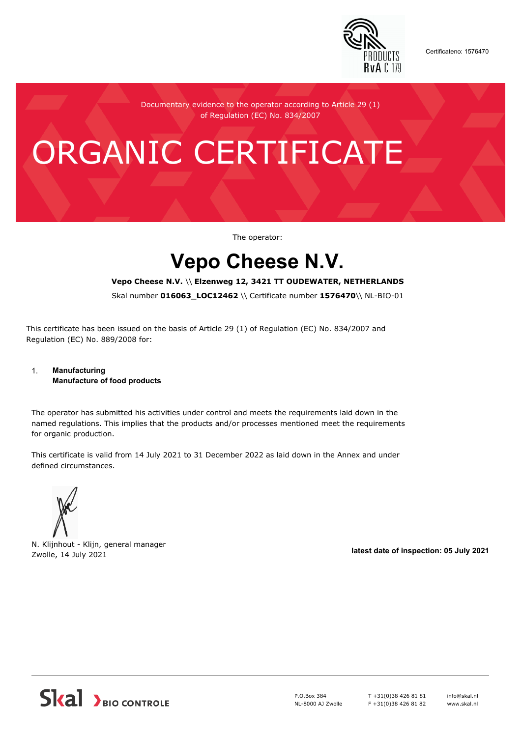

Certificateno: 1576470

Documentary evidence to the operator according to Article 29 (1) of Regulation (EC) No. 834/2007

# ORGANIC CERTIFICATE

The operator:

## **Vepo Cheese N.V.**

#### **Vepo Cheese N.V.** \\ **Elzenweg 12, 3421 TT OUDEWATER, NETHERLANDS**

Skal number **016063\_LOC12462** \\ Certificate number **1576470**\\ NL-BIO-01

This certificate has been issued on the basis of Article 29 (1) of Regulation (EC) No. 834/2007 and Regulation (EC) No. 889/2008 for:

#### 1. **Manufacturing Manufacture of food products**

The operator has submitted his activities under control and meets the requirements laid down in the named regulations. This implies that the products and/or processes mentioned meet the requirements for organic production.

This certificate is valid from 14 July 2021 to 31 December 2022 as laid down in the Annex and under defined circumstances.



N. Klijnhout - Klijn, general manager Zwolle, 14 July 2021 **latest date of inspection: 05 July 2021**



P.O.Box 384 NL-8000 AJ Zwolle T +31(0)38 426 81 81 F +31(0)38 426 81 82